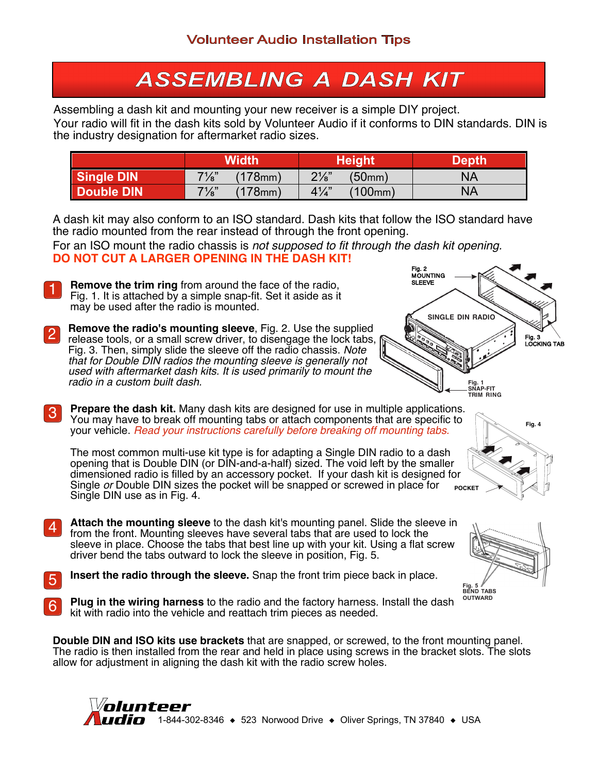## **ASSEMBLING A DASH KIT**

Assembling a dash kit and mounting your new receiver is a simple DIY project. Your radio will fit in the dash kits sold by Volunteer Audio if it conforms to DIN standards. DIN is the industry designation for aftermarket radio sizes.

|                   | Width                          | <b>Height</b>             | Depth     |
|-------------------|--------------------------------|---------------------------|-----------|
| <b>Single DIN</b> | $7\frac{1}{8}$ "<br>$(178)$ mm | $2\frac{1}{8}$<br>(50mm)  | ΝA        |
| Double DIN        | $7\frac{1}{8}$ "<br>$(178)$ mm | $4\frac{1}{4}$<br>(100mm) | <b>NA</b> |

A dash kit may also conform to an ISO standard. Dash kits that follow the ISO standard have the radio mounted from the rear instead of through the front opening.

For an ISO mount the radio chassis is *not supposed to fit through the dash kit opening.* **DO NOT CUT A LARGER OPENING IN THE DASH KIT!**

- **Remove the trim ring** from around the face of the radio, Fig. 1. It is attached by a simple snap-fit. Set it aside as it may be used after the radio is mounted. 1
- **Fig. 1 SNAP-FIT TRIM RING SINGLE DIN RADIO** Fig. 2 MOUNTING SLEEVE Fig. 3 LOCKING TAB
- **Remove the radio's mounting sleeve**, Fig. 2. Use the supplied release tools, or a small screw driver, to disengage the lock tabs, Fig. 3. Then, simply slide the sleeve off the radio chassis. *Note that for Double DIN radios the mounting sleeve is generally not used with aftermarket dash kits. It is used primarily to mount the radio in a custom built dash.* 2
- **Prepare the dash kit.** Many dash kits are designed for use in multiple applications. You may have to break off mounting tabs or attach components that are specific to your vehicle. *Read your instructions carefully before breaking off mounting tabs.* 3

**POCKET** The most common multi-use kit type is for adapting a Single DIN radio to a dash opening that is Double DIN (or DIN-and-a-half) sized. The void left by the smaller dimensioned radio is filled by an accessory pocket. If your dash kit is designed for Single *or* Double DIN sizes the pocket will be snapped or screwed in place for Single DIN use as in Fig. 4.

- **Attach the mounting sleeve** to the dash kit's mounting panel. Slide the sleeve in from the front. Mounting sleeves have several tabs that are used to lock the sleeve in place. Choose the tabs that best line up with your kit. Using a flat screw driver bend the tabs outward to lock the sleeve in position, Fig. 5. 4
- **Insert the radio through the sleeve.** Snap the front trim piece back in place.
- **Plug in the wiring harness** to the radio and the factory harness. Install the dash 6 Plug in the wiring narness to the radio and the ractory narness.<br>Kit with radio into the vehicle and reattach trim pieces as needed.

**Double DIN and ISO kits use brackets** that are snapped, or screwed, to the front mounting panel. The radio is then installed from the rear and held in place using screws in the bracket slots. The slots allow for adjustment in aligning the dash kit with the radio screw holes.





**Fig. 4**